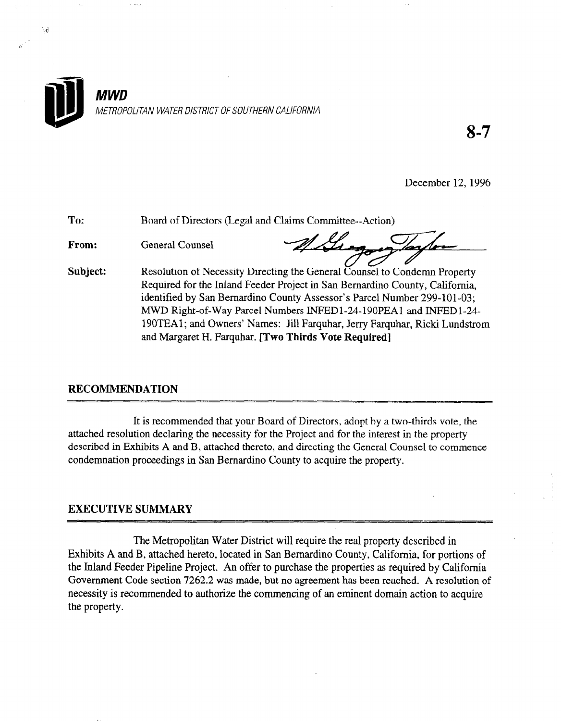

8-7

December 12,1996

| To:      | Board of Directors (Legal and Claims Committee--Action)                                                                                                                                                                                                                                                                                                                                                                                         |
|----------|-------------------------------------------------------------------------------------------------------------------------------------------------------------------------------------------------------------------------------------------------------------------------------------------------------------------------------------------------------------------------------------------------------------------------------------------------|
| From:    | <b>General Counsel</b>                                                                                                                                                                                                                                                                                                                                                                                                                          |
| Subject: | Resolution of Necessity Directing the General Counsel to Condemn Property<br>Required for the Inland Feeder Project in San Bernardino County, California,<br>identified by San Bernardino County Assessor's Parcel Number 299-101-03;<br>MWD Right-of-Way Parcel Numbers INFED1-24-190PEA1 and INFED1-24-<br>190TEA1; and Owners' Names: Jill Farquhar, Jerry Farquhar, Ricki Lundstrom<br>and Margaret H. Farquhar. [Two Thirds Vote Required] |

# RECOMMENDATION-

.<br>R

It is recommended that your Board of Directors, adopt by a two-thirds vote, the at is recommended that your board of Directors, adopt by a two-thirds voie, attached resolution declaring the necessity for the Project and for the interest in the property described in Exhibits A and B, attached thereto, and directing the General Counsel to commence condemnation proceedings in San Bernardino County to acquire the property.

The Metropolitan Water District will require the real property described in  $\mathcal{L}_\mathcal{D}$ The Metropolitan Water District will require the real property described in Exhibits A and B, attached hereto, located in San Bernardino County, California, for portions of the Inland Feeder Pipeline Project. An offer to purchase the properties as required by California Government Code section 7262.2 was made, but no agreement has been reached. A resolution of necessity is recommended to authorize the commencing of an eminent domain action to acquire the property.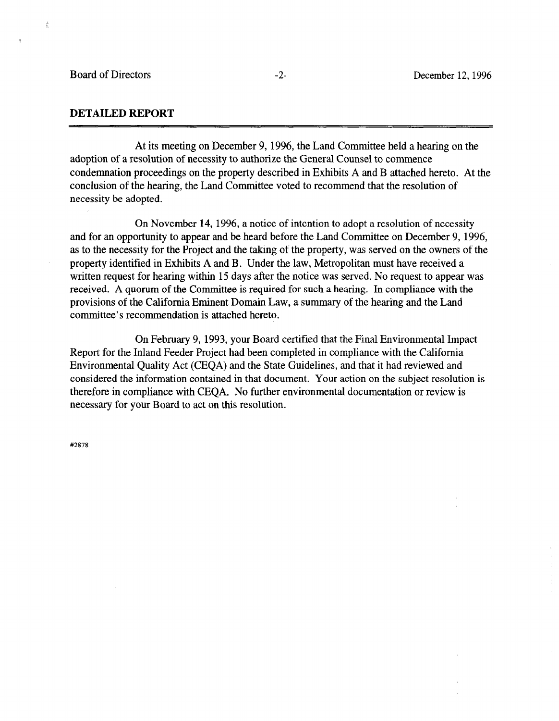$\frac{3}{2}$ 

ó,

 $\hat{\mathcal{A}}$ 

## DETAILED REPORT

At its meeting on December 9, 1996, the Land Committee held a hearing on the adoption of a resolution of necessity to authorize the General Counsel to commence condemnation proceedings on the property described in Exhibits A and B attached hereto. At the conclusion of the hearing, the Land Committee voted to recommend that the resolution of necessity be adopted.

On November 14, 1996, a notice of intention to adopt a resolution of necessity and for an opportunity to appear and be heard before the Land Committee on December 9, 1996, as to the necessity for the Project and the taking of the property, was served on the owners of the property identified in Exhibits A and B. Under the law, Metropolitan must have received a written request for hearing within 15 days after the notice was served. No request to appear was received. A quorum of the Committee is required for such a hearing. In compliance with the provisions of the California Eminent Domain Law, a summary of the hearing and the Land committee's recommendation is attached hereto.

On February 9, 1993, your Board certified that the Final Environmental Impact Report for the Inland Feeder Project had been completed in compliance with the California Encyon for the finance occur if foliot had been completed in compliance with the Cambridge Environmental Quality Act (CEQA) and the State Guidelines, and that it had reviewed and considered the information contained in that document. Your action on the subject resolution is therefore in compliance with CEQA. No further environmental documentation or review is necessary for your Board to act on this resolution.

#2878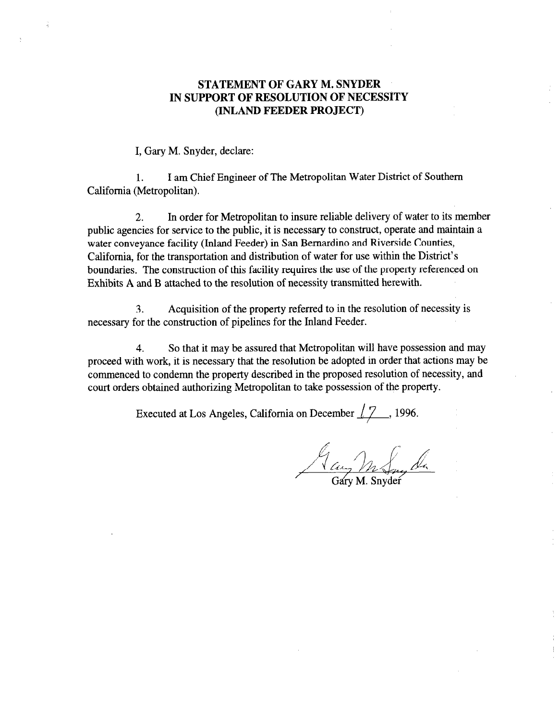# STATEMENT OF GARY M. SNYDER IN SUPPORT OF RESOLUTION OF NECESSITY (INLAND FEEDER PROJECT)

I, Gary M. Snyder, declare:

1. I am Chief Engineer of The Metropolitan Water District of Southern California (Metropolitan).

2. In order for Metropolitan to insure reliable delivery of water to its member public agencies for service to the public, it is necessary to construct, operate and maintain a water conveyance facility (Inland Feeder) in San Bernardino and Riverside Counties, California, for the transportation and distribution of water for use within the District's boundaries. The construction of this facility requires the use of the property referenced on Exhibits A and B attached to the resolution of necessity transmitted herewith.

3. Acquisition of the property referred to in the resolution of necessity is necessary for the construction of pipelines for the Inland Feeder.

4. So that it may be assured that Metropolitan will have possession and may processes with with  $\frac{1}{2}$  is necessary that the resolution because  $\frac{1}{2}$  is necessary that actions may be adopted in order that actions may be proceed with work, it is necessary that the resolution of deopled in order that detroits may be commenced to condemn the property described in the proposed resolution of necessity, and court orders obtained authorizing Metropolitan to take possession of the property.

Executed at Los Angeles, California on December  $\sqrt{7}$ , 1996.

A aug M Smeda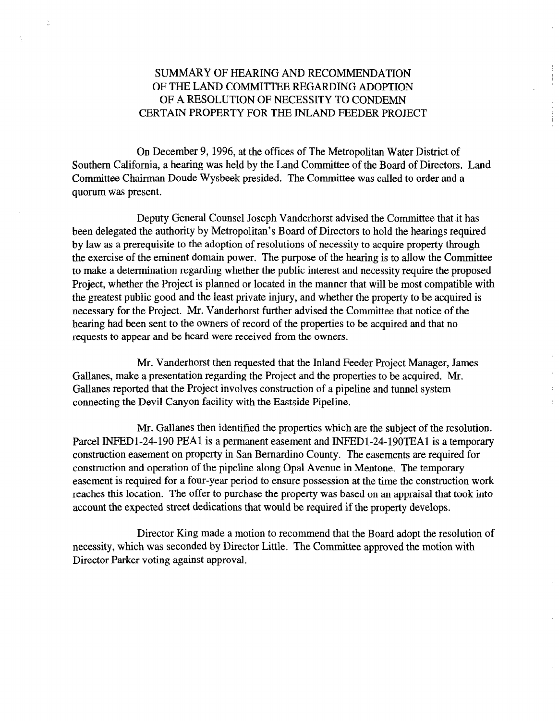# SUMMARY OF HEARING AND RECOMMENDATION OF THE LAND COMMITTEE REGARDING ADOPTION OF A RESOLUTION OF NECESSITY TO CONDEMN CERTAIN PROPERTY FOR THE INLAND FEEDER PROJECT

On December 9, 1996, at the offices of The Metropolitan Water District of Southern California, a hearing was held by the Land Committee of the Board of Directors. Land Committee Chairman Doude Wysbeek presided. The Committee was called to order and a quorum was present.

Deputy General Counsel Joseph Vanderhorst advised the Committee that it has been delegated the authority by Metropolitan's Board of Directors to hold the hearings required by law as a prerequisite to the adoption of resolutions of necessity to acquire property through the exercise of the eminent domain power. The purpose of the hearing is to allow the Committee to make a determination regarding whether the public interest and necessity require the proposed Project, whether the Project is planned or located in the manner that will be most compatible with the greatest public good and the least private injury, and whether the property to be acquired is necessary for the Project. Mr. Vanderhorst further advised the Committee that notice of the hearing had been sent to the owners of record of the properties to be acquired and that no requests to appear and be heard were received from the owners.

Mr. Vanderhorst then requested that the Inland Feeder Project Manager, James For a presentation regulation regulation regulation regulation regulation regulation regulation regulation regulation regulation regulation regulation regulation regulation regulation regulation regulation regulation regul Gallanes, make a presentation regarding the Project and the properties to be acquired. Mr. Gallanes reported that the Project involves construction of a pipeline and tunnel system connecting the Devil Canyon facility with the Eastside Pipeline.

Mr. Gallanes then identified the properties which are the subject of the resolution. Part. Gananes then fuentified the properties which are the subject of the resolution. Parcel INFED1-24-190 PEA1 is a permanent easement and INFED1-24-190TEA1 is a temporary construction easement on property in San Bernardino County. The easements are required for construction and operation of the pipeline along Opal Avenue in Mentone. The temporary easement is required for a four-year period to ensure possession at the time the construction work reaches this location. The offer to purchase the property was based on an appraisal that took into account the expected street dedications that would be required if the property develops.

Director King made a motion to recommend that the Board adopt the resolution of necessity, which was seconded by Director Little. The Committee approved the motion with Director Parker voting against approval.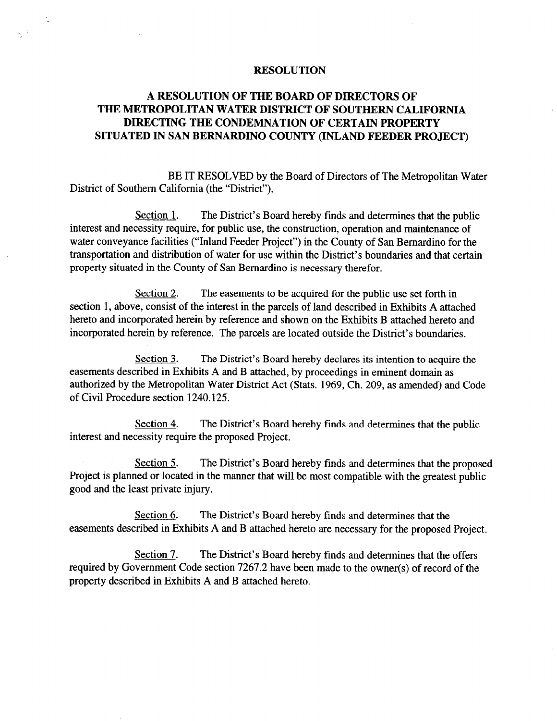#### RESOLUTION

# A RESOLUTION OF THE BOARD OF DIRECTORS OF THE METROPOLITAN WATER DISTRICT OF SOUTHERN CALIFORNIA DIRECTING THE CONDEMNATION OF CERTAIN PROPERTY SITUATED IN SAN BERNARDINO COUNTY (INLAND FEEDER PROJECT)

BE IT RESOLVED by the Board of Directors of The Metropolitan Water District of Southern California (the "District").

Section 1. The District's Board hereby finds and determines that the public interest and necessity require, for public use, the construction, operation and maintenance of water conveyance facilities ("Inland Feeder Project") in the County of San Bernardino for the transportation and distribution of water for use within the District's boundaries and that certain property situated in the County of San Bernardino is necessary therefor.

Section 2. The easements to be acquired for the public use set forth in section 1, above, consist of the interest in the parcels of land described in Exhibits A attached hereto and incorporated herein by reference and shown on the Exhibits B attached hereto and incorporated herein by reference. The parcels are located outside the District's boundaries.

Section 3. The District's Board hereby declares its intention to acquire the easements described in Exhibits A and B attached, by proceedings in eminent domain as authorized by the Metropolitan Water District Act (Stats. 1969, Ch. 209, as amended) and Code of Civil Procedure section 1240.125.

Section 4. The District's Board hereby finds and determines that the public interest and necessity require the proposed Project.

Section 5. The District's Board hereby finds and determines that the proposed Project is planned or located in the manner that will be most compatible with the greatest public good and the least private injury.

Section 6. The District's Board hereby finds and determines that the easements described in Exhibits A and B attached hereto are necessary for the proposed Project.

Section 7. The District's Board hereby finds and determines that the offers required by Government Code section 7267.2 have been made to the owner(s) of record of the property described in Exhibits A and B attached hereto.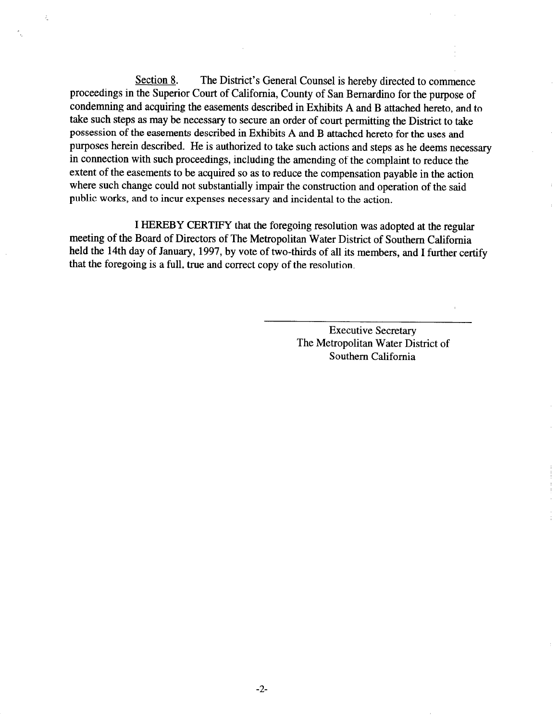Section 8. The District's General Counsel is hereby directed to commence proceedings in the Superior Court of California, County of San Bernardino for the purpose of condemning and acquiring the easements described in Exhibits A and B attached hereto, and to take such steps as may be necessary to secure an order of court permitting the District to take possession of the easements described in Exhibits A and B attached hereto for the uses and purposes herein described. He is authorized to take such actions and steps as he deems necessary in connection with such proceedings, including the amending of the complaint to reduce the extent of the easements to be acquired so as to reduce the compensation payable in the action where such change could not substantially impair the construction and operation of the said public works, and to incur expenses necessary and incidental to the action.

I HEREBY CERTIFY that the foregoing resolution was adopted at the regular meeting of the Board of Directors of The Metropolitan Water District of Southern California held the 14th day of January, 1997, by vote of two-thirds of all its members, and I further certify that the foregoing is a full, true and correct copy of the resolution.

> Executive Secretary The Metropolitan Water District of Southern California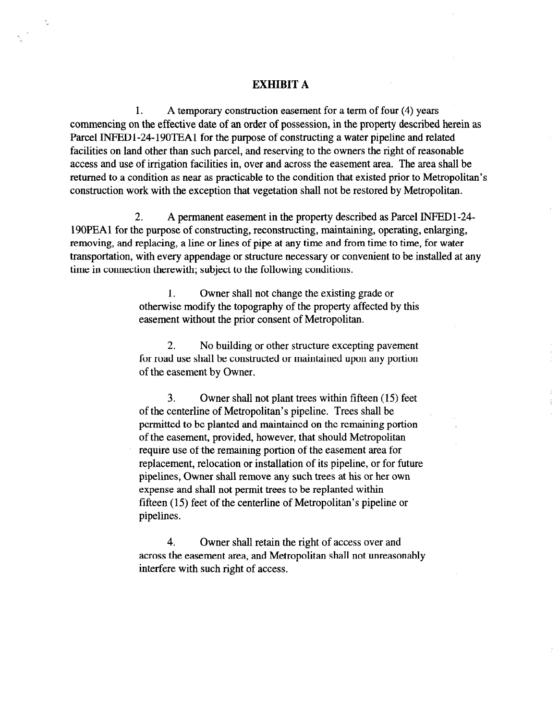## EXHIBIT A

 $\frac{\partial f}{\partial x}$ 

1. A temporary construction easement for a term of four (4) years commencing on the effective date of an order of possession, in the property described herein as Parcel INPEDl-24-190TEAl for the purpose of constructing a water pipeline and related facilities on land other than such parcel, and reserving to the owners the right of reasonable access and use of irrigation facilities in, over and across the easement area. The area shall be returned to a condition as near as practicable to the condition that existed prior to Metropolitan's construction work with the exception that vegetation shall not be restored by Metropolitan.

2. A permanent easement in the property described as Parcel INFEDl-24- 190PEAl for the purpose of constructing, reconstructing, maintaining, operating, enlarging, removing, and replacing, a line or lines of pipe at any time and from time to time, for water transportation, with every appendage or structure necessary or convenient to be installed at any time in connection therewith; subject to the following conditions.

> 1. Owner shall not change the existing grade or otherwise modify the topography of the property affected by this easement without the prior consent of Metropolitan.

> 2. No building or other structure excepting pavement z. To building of other structure excepting pavement for foad dat snaff be consu

3. Owner shall not plant trees within fifteen (15) feet  $\sigma$ . Owner shall not piant trees within integri (19) of the centerline of Metropolitan's pipeline. Trees shall be permitted to be planted and maintained on the remaining portion of the easement, provided, however, that should Metropolitan require use of the remaining portion of the easement area for replacement, relocation or installation of its pipeline, or for future pipelines, Owner shall remove any such trees at his or her own expense and shall not permit trees to be replanted within fifteen  $(15)$  feet of the centerline of Metropolitan's pipeline or pipelines.

4. Owner shall retain the right of access over and across the easement area, and Metropolitan shall not unreasonably interfere with such right of access.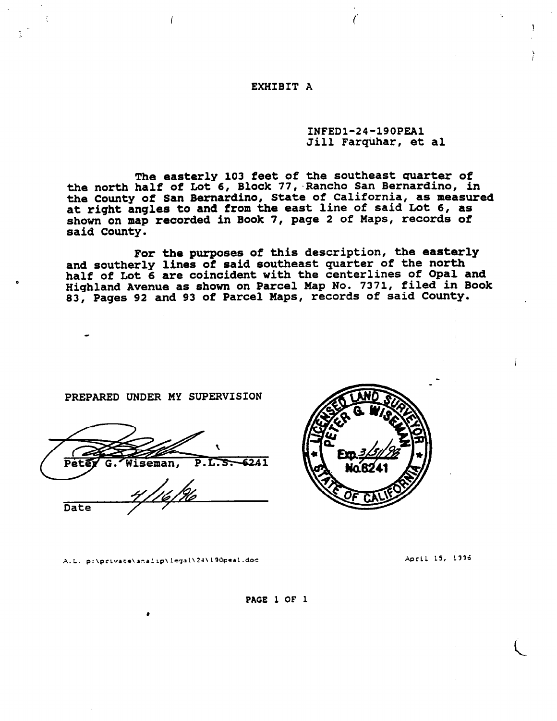#### EXHIBIT A

### INFEDl-24-190PEAl Jill Farquhar, et al

3

The easterly 103 feet of the southeast quarter of the north half of Lot 6, Block 77, Rancho San Bernardino, in the County of San Bernardino, State of California, as measured at right angles to and from the east line of said Lot 6, as shown on map recorded in Book 7, page 2 of Maps, records of said County.

For the purposes of this description, the easterly and southerly lines of said southeast quarter of the nort half of Lot 6 are coincident with the centerlines of Opal and Highland Avenue as shown on Parcel Map No. 7371, filed in Book 83, Pages 92 and 93 of Parcel Maps, records of said County.

PREPARED UNDER MY SUPERVISION

P.L.S. 6241 Viseman, Peta Date

A.L. p:\private\analip\legal\24\190peal.doc Apcill 15, 2336



PACE 1 OF 1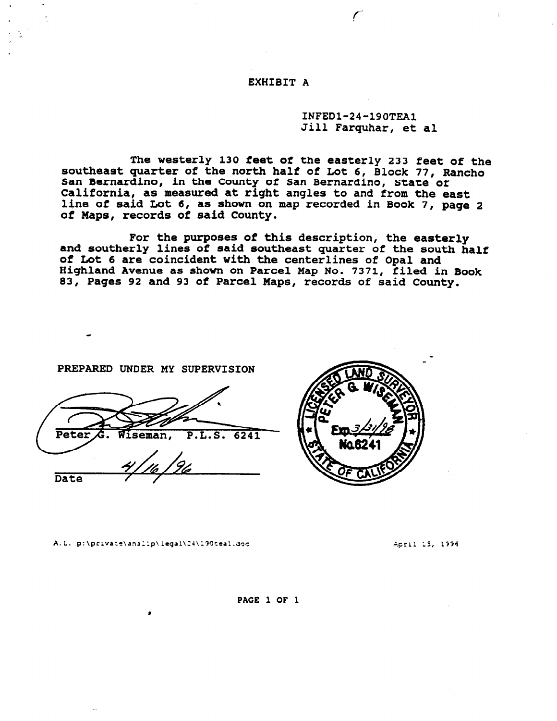EXHIBIT A

INFEDl-24-190TEAl Jill Farquhar, et al

The westerly 130 feet of the easterly 233 feet of the southeast quarter of the north half of Lot 6, Block 77, Rancho San Bernardino, in the County of San Bernardino, State of California, as measured at right angles to and from the east line of said Lot 6, as shown on map recorded in Book 7, page 2 of Maps, records of said County.

For the purposes of this description, the easterly and southerly lines of said southeast quarter of the south half of Lot 6 are coincident with the centerlines of Opal and Highland Avenue as shown on Parcel Map No. 7371, filed in Book 83, Pages 92 and 93 of Parcel Maps, records of said County.

PREPARED UNDER MY SUPERVISION

Pete  $P.L.S.$  $6241$ eman, Date



A.L. p:\private\analip\legal\24\190teal.doc

Acril 15, 1996

#### PACE 1 OF 1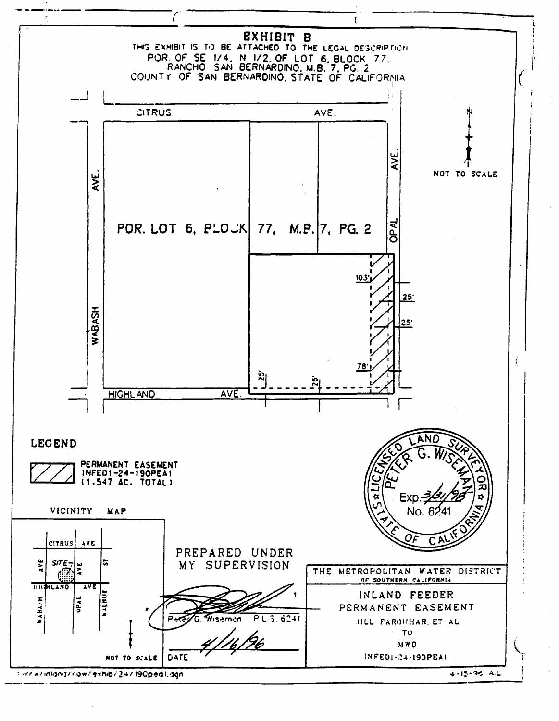